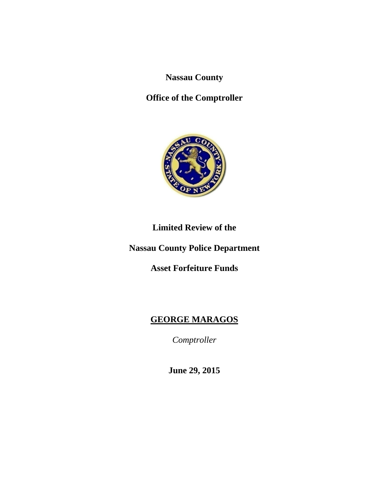**Nassau County** 

**Office of the Comptroller** 



# **Limited Review of the**

**Nassau County Police Department** 

**Asset Forfeiture Funds** 

# **GEORGE MARAGOS**

*Comptroller* 

**June 29, 2015**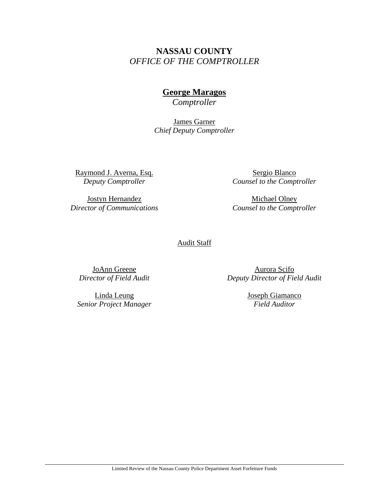# **NASSAU COUNTY**  *OFFICE OF THE COMPTROLLER*

# **George Maragos**

*Comptroller* 

James Garner *Chief Deputy Comptroller* 

Raymond J. Averna, Esq. *Deputy Comptroller* 

Jostyn Hernandez *Director of Communications* 

Sergio Blanco *Counsel to the Comptroller* 

Michael Olney *Counsel to the Comptroller* 

#### **Audit Staff**

JoAnn Greene *Director of Field Audit* 

Linda Leung *Senior Project Manager* 

Aurora Scifo *Deputy Director of Field Audit* 

> Joseph Giamanco *Field Auditor*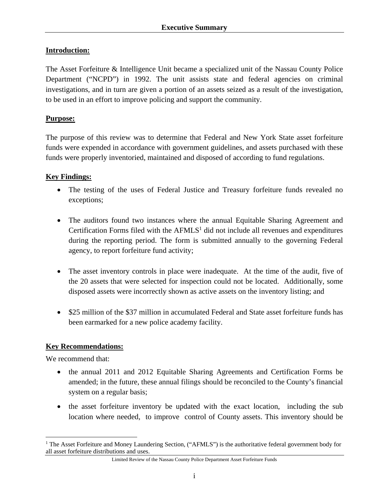## **Introduction:**

The Asset Forfeiture & Intelligence Unit became a specialized unit of the Nassau County Police Department ("NCPD") in 1992. The unit assists state and federal agencies on criminal investigations, and in turn are given a portion of an assets seized as a result of the investigation, to be used in an effort to improve policing and support the community.

#### **Purpose:**

The purpose of this review was to determine that Federal and New York State asset forfeiture funds were expended in accordance with government guidelines, and assets purchased with these funds were properly inventoried, maintained and disposed of according to fund regulations.

## **Key Findings:**

- The testing of the uses of Federal Justice and Treasury forfeiture funds revealed no exceptions;
- The auditors found two instances where the annual Equitable Sharing Agreement and Certification Forms filed with the  $AFMLS<sup>1</sup>$  did not include all revenues and expenditures during the reporting period. The form is submitted annually to the governing Federal agency, to report forfeiture fund activity;
- The asset inventory controls in place were inadequate. At the time of the audit, five of the 20 assets that were selected for inspection could not be located. Additionally, some disposed assets were incorrectly shown as active assets on the inventory listing; and
- \$25 million of the \$37 million in accumulated Federal and State asset forfeiture funds has been earmarked for a new police academy facility.

#### **Key Recommendations:**

We recommend that:

 $\overline{a}$ 

- the annual 2011 and 2012 Equitable Sharing Agreements and Certification Forms be amended; in the future, these annual filings should be reconciled to the County's financial system on a regular basis;
- the asset forfeiture inventory be updated with the exact location, including the sub location where needed, to improve control of County assets. This inventory should be

<sup>&</sup>lt;sup>1</sup> The Asset Forfeiture and Money Laundering Section, ("AFMLS") is the authoritative federal government body for all asset forfeiture distributions and uses.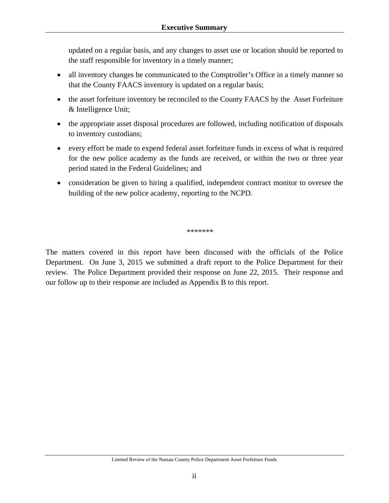updated on a regular basis, and any changes to asset use or location should be reported to the staff responsible for inventory in a timely manner;

- all inventory changes be communicated to the Comptroller's Office in a timely manner so that the County FAACS inventory is updated on a regular basis;
- the asset forfeiture inventory be reconciled to the County FAACS by the Asset Forfeiture & Intelligence Unit;
- the appropriate asset disposal procedures are followed, including notification of disposals to inventory custodians;
- every effort be made to expend federal asset forfeiture funds in excess of what is required for the new police academy as the funds are received, or within the two or three year period stated in the Federal Guidelines; and
- consideration be given to hiring a qualified, independent contract monitor to oversee the building of the new police academy, reporting to the NCPD.

\*\*\*\*\*\*\*

The matters covered in this report have been discussed with the officials of the Police Department. On June 3, 2015 we submitted a draft report to the Police Department for their review. The Police Department provided their response on June 22, 2015. Their response and our follow up to their response are included as Appendix B to this report.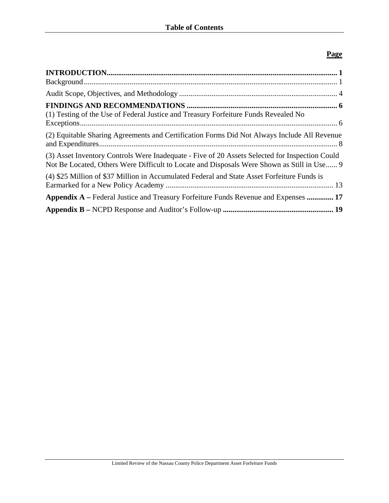## **Page**

| (1) Testing of the Use of Federal Justice and Treasury Forfeiture Funds Revealed No                                                                                                          |
|----------------------------------------------------------------------------------------------------------------------------------------------------------------------------------------------|
| (2) Equitable Sharing Agreements and Certification Forms Did Not Always Include All Revenue                                                                                                  |
| (3) Asset Inventory Controls Were Inadequate - Five of 20 Assets Selected for Inspection Could<br>Not Be Located, Others Were Difficult to Locate and Disposals Were Shown as Still in Use 9 |
| (4) \$25 Million of \$37 Million in Accumulated Federal and State Asset Forfeiture Funds is                                                                                                  |
| <b>Appendix A</b> – Federal Justice and Treasury Forfeiture Funds Revenue and Expenses  17                                                                                                   |
|                                                                                                                                                                                              |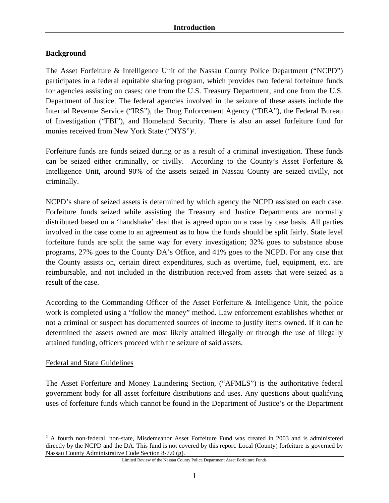# **Background**

The Asset Forfeiture & Intelligence Unit of the Nassau County Police Department ("NCPD") participates in a federal equitable sharing program, which provides two federal forfeiture funds for agencies assisting on cases; one from the U.S. Treasury Department, and one from the U.S. Department of Justice. The federal agencies involved in the seizure of these assets include the Internal Revenue Service ("IRS"), the Drug Enforcement Agency ("DEA"), the Federal Bureau of Investigation ("FBI"), and Homeland Security. There is also an asset forfeiture fund for monies received from New York State ("NYS")<sup>2</sup>.

Forfeiture funds are funds seized during or as a result of a criminal investigation. These funds can be seized either criminally, or civilly. According to the County's Asset Forfeiture & Intelligence Unit, around 90% of the assets seized in Nassau County are seized civilly, not criminally.

NCPD's share of seized assets is determined by which agency the NCPD assisted on each case. Forfeiture funds seized while assisting the Treasury and Justice Departments are normally distributed based on a 'handshake' deal that is agreed upon on a case by case basis. All parties involved in the case come to an agreement as to how the funds should be split fairly. State level forfeiture funds are split the same way for every investigation; 32% goes to substance abuse programs, 27% goes to the County DA's Office, and 41% goes to the NCPD. For any case that the County assists on, certain direct expenditures, such as overtime, fuel, equipment, etc. are reimbursable, and not included in the distribution received from assets that were seized as a result of the case.

According to the Commanding Officer of the Asset Forfeiture & Intelligence Unit, the police work is completed using a "follow the money" method. Law enforcement establishes whether or not a criminal or suspect has documented sources of income to justify items owned. If it can be determined the assets owned are most likely attained illegally or through the use of illegally attained funding, officers proceed with the seizure of said assets.

#### Federal and State Guidelines

 $\overline{a}$ 

The Asset Forfeiture and Money Laundering Section, ("AFMLS") is the authoritative federal government body for all asset forfeiture distributions and uses. Any questions about qualifying uses of forfeiture funds which cannot be found in the Department of Justice's or the Department

<sup>&</sup>lt;sup>2</sup> A fourth non-federal, non-state, Misdemeanor Asset Forfeiture Fund was created in 2003 and is administered directly by the NCPD and the DA. This fund is not covered by this report. Local (County) forfeiture is governed by Nassau County Administrative Code Section 8-7.0 (g).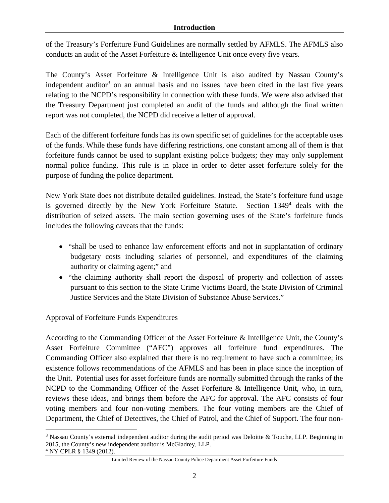#### **Introduction**

of the Treasury's Forfeiture Fund Guidelines are normally settled by AFMLS. The AFMLS also conducts an audit of the Asset Forfeiture & Intelligence Unit once every five years.

The County's Asset Forfeiture & Intelligence Unit is also audited by Nassau County's independent auditor<sup>3</sup> on an annual basis and no issues have been cited in the last five years relating to the NCPD's responsibility in connection with these funds. We were also advised that the Treasury Department just completed an audit of the funds and although the final written report was not completed, the NCPD did receive a letter of approval.

Each of the different forfeiture funds has its own specific set of guidelines for the acceptable uses of the funds. While these funds have differing restrictions, one constant among all of them is that forfeiture funds cannot be used to supplant existing police budgets; they may only supplement normal police funding. This rule is in place in order to deter asset forfeiture solely for the purpose of funding the police department.

New York State does not distribute detailed guidelines. Instead, the State's forfeiture fund usage is governed directly by the New York Forfeiture Statute. Section 1349<sup>4</sup> deals with the distribution of seized assets. The main section governing uses of the State's forfeiture funds includes the following caveats that the funds:

- "shall be used to enhance law enforcement efforts and not in supplantation of ordinary budgetary costs including salaries of personnel, and expenditures of the claiming authority or claiming agent;" and
- "the claiming authority shall report the disposal of property and collection of assets pursuant to this section to the State Crime Victims Board, the State Division of Criminal Justice Services and the State Division of Substance Abuse Services."

# Approval of Forfeiture Funds Expenditures

<u>.</u>

According to the Commanding Officer of the Asset Forfeiture & Intelligence Unit, the County's Asset Forfeiture Committee ("AFC") approves all forfeiture fund expenditures. The Commanding Officer also explained that there is no requirement to have such a committee; its existence follows recommendations of the AFMLS and has been in place since the inception of the Unit. Potential uses for asset forfeiture funds are normally submitted through the ranks of the NCPD to the Commanding Officer of the Asset Forfeiture & Intelligence Unit, who, in turn, reviews these ideas, and brings them before the AFC for approval. The AFC consists of four voting members and four non-voting members. The four voting members are the Chief of Department, the Chief of Detectives, the Chief of Patrol, and the Chief of Support. The four non-

<sup>&</sup>lt;sup>3</sup> Nassau County's external independent auditor during the audit period was Deloitte & Touche, LLP. Beginning in 2015, the County's new independent auditor is McGladrey, LLP. 4 NY CPLR § 1349 (2012).

Limited Review of the Nassau County Police Department Asset Forfeiture Funds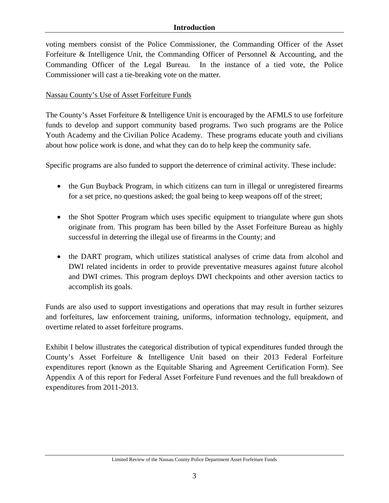voting members consist of the Police Commissioner, the Commanding Officer of the Asset Forfeiture & Intelligence Unit, the Commanding Officer of Personnel & Accounting, and the Commanding Officer of the Legal Bureau. In the instance of a tied vote, the Police Commissioner will cast a tie-breaking vote on the matter.

## Nassau County's Use of Asset Forfeiture Funds

The County's Asset Forfeiture & Intelligence Unit is encouraged by the AFMLS to use forfeiture funds to develop and support community based programs. Two such programs are the Police Youth Academy and the Civilian Police Academy. These programs educate youth and civilians about how police work is done, and what they can do to help keep the community safe.

Specific programs are also funded to support the deterrence of criminal activity. These include:

- the Gun Buyback Program, in which citizens can turn in illegal or unregistered firearms for a set price, no questions asked; the goal being to keep weapons off of the street;
- the Shot Spotter Program which uses specific equipment to triangulate where gun shots originate from. This program has been billed by the Asset Forfeiture Bureau as highly successful in deterring the illegal use of firearms in the County; and
- the DART program, which utilizes statistical analyses of crime data from alcohol and DWI related incidents in order to provide preventative measures against future alcohol and DWI crimes. This program deploys DWI checkpoints and other aversion tactics to accomplish its goals.

Funds are also used to support investigations and operations that may result in further seizures and forfeitures, law enforcement training, uniforms, information technology, equipment, and overtime related to asset forfeiture programs.

Exhibit I below illustrates the categorical distribution of typical expenditures funded through the County's Asset Forfeiture & Intelligence Unit based on their 2013 Federal Forfeiture expenditures report (known as the Equitable Sharing and Agreement Certification Form). See Appendix A of this report for Federal Asset Forfeiture Fund revenues and the full breakdown of expenditures from 2011-2013.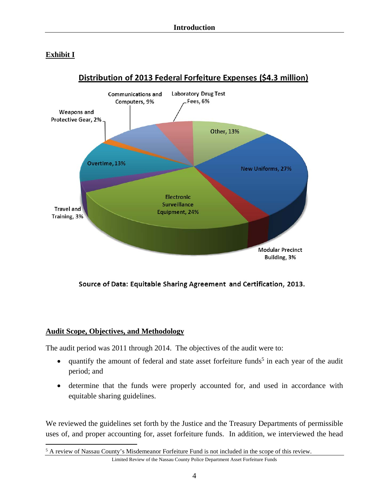# **Exhibit I**



# Distribution of 2013 Federal Forfeiture Expenses (\$4.3 million)

Source of Data: Equitable Sharing Agreement and Certification, 2013.

#### **Audit Scope, Objectives, and Methodology**

The audit period was 2011 through 2014. The objectives of the audit were to:

- $\bullet$  quantify the amount of federal and state asset forfeiture funds<sup>5</sup> in each year of the audit period; and
- determine that the funds were properly accounted for, and used in accordance with equitable sharing guidelines.

We reviewed the guidelines set forth by the Justice and the Treasury Departments of permissible uses of, and proper accounting for, asset forfeiture funds. In addition, we interviewed the head

Limited Review of the Nassau County Police Department Asset Forfeiture Funds  $\overline{a}$ <sup>5</sup> A review of Nassau County's Misdemeanor Forfeiture Fund is not included in the scope of this review.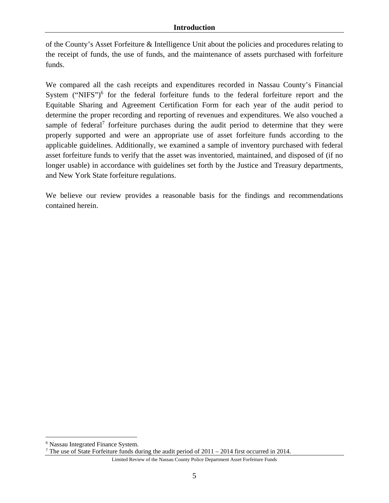of the County's Asset Forfeiture & Intelligence Unit about the policies and procedures relating to the receipt of funds, the use of funds, and the maintenance of assets purchased with forfeiture funds.

We compared all the cash receipts and expenditures recorded in Nassau County's Financial System ("NIFS") $<sup>6</sup>$  for the federal forfeiture funds to the federal forfeiture report and the</sup> Equitable Sharing and Agreement Certification Form for each year of the audit period to determine the proper recording and reporting of revenues and expenditures. We also vouched a sample of federal<sup>7</sup> forfeiture purchases during the audit period to determine that they were properly supported and were an appropriate use of asset forfeiture funds according to the applicable guidelines. Additionally, we examined a sample of inventory purchased with federal asset forfeiture funds to verify that the asset was inventoried, maintained, and disposed of (if no longer usable) in accordance with guidelines set forth by the Justice and Treasury departments, and New York State forfeiture regulations.

We believe our review provides a reasonable basis for the findings and recommendations contained herein.

1

<sup>6</sup> Nassau Integrated Finance System.

<sup>&</sup>lt;sup>7</sup> The use of State Forfeiture funds during the audit period of  $2011 - 2014$  first occurred in 2014.

Limited Review of the Nassau County Police Department Asset Forfeiture Funds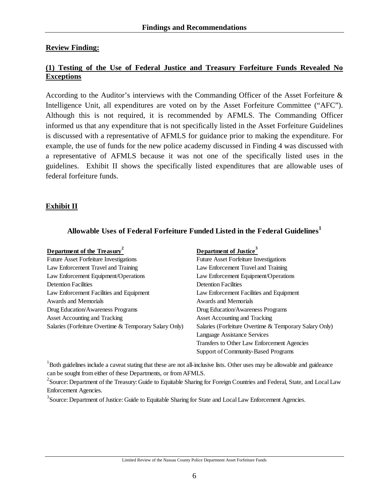#### **Review Finding:**

#### **(1) Testing of the Use of Federal Justice and Treasury Forfeiture Funds Revealed No Exceptions**

According to the Auditor's interviews with the Commanding Officer of the Asset Forfeiture & Intelligence Unit, all expenditures are voted on by the Asset Forfeiture Committee ("AFC"). Although this is not required, it is recommended by AFMLS. The Commanding Officer informed us that any expenditure that is not specifically listed in the Asset Forfeiture Guidelines is discussed with a representative of AFMLS for guidance prior to making the expenditure. For example, the use of funds for the new police academy discussed in Finding 4 was discussed with a representative of AFMLS because it was not one of the specifically listed uses in the guidelines. Exhibit II shows the specifically listed expenditures that are allowable uses of federal forfeiture funds.

#### **Exhibit II**

#### **Allowable Uses of Federal Forfeiture Funded Listed in the Federal Guidelines<sup>1</sup>**

| Department of the Treasury <sup>2</sup>                | Department of Justice <sup>3</sup>                     |
|--------------------------------------------------------|--------------------------------------------------------|
| <b>Future Asset Forfeiture Investigations</b>          | <b>Future Asset Forfeiture Investigations</b>          |
| Law Enforcement Travel and Training                    | Law Enforcement Travel and Training                    |
| Law Enforcement Equipment/Operations                   | Law Enforcement Equipment/Operations                   |
| <b>Detention Facilities</b>                            | <b>Detention Facilities</b>                            |
| Law Enforcement Facilities and Equipment               | Law Enforcement Facilities and Equipment               |
| Awards and Memorials                                   | Awards and Memorials                                   |
| Drug Education/Awareness Programs                      | Drug Education/Awareness Programs                      |
| <b>Asset Accounting and Tracking</b>                   | Asset Accounting and Tracking                          |
| Salaries (Forfeiture Overtime & Temporary Salary Only) | Salaries (Forfeiture Overtime & Temporary Salary Only) |
|                                                        | Language Assistance Services                           |
|                                                        | Transfers to Other Law Enforcement Agencies            |
|                                                        | Support of Community-Based Programs                    |

<sup>1</sup>Both guidelines include a caveat stating that these are not all-inclusive lists. Other uses may be allowable and guideance can be sought from either of these Departments, or from AFMLS.

 $2^2$ Source: Department of the Treasury: Guide to Equitable Sharing for Foreign Countries and Federal, State, and Local Law Enforcement Agencies.

<sup>3</sup> Source: Department of Justice: Guide to Equitable Sharing for State and Local Law Enforcement Agencies.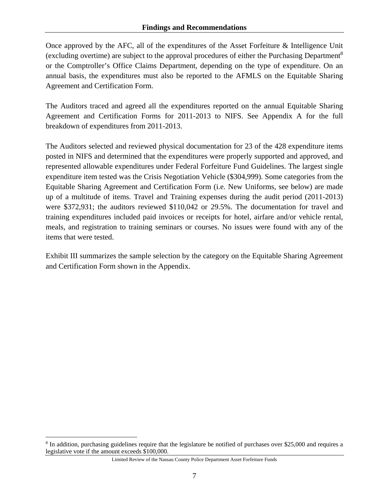Once approved by the AFC, all of the expenditures of the Asset Forfeiture & Intelligence Unit (excluding overtime) are subject to the approval procedures of either the Purchasing Department8 or the Comptroller's Office Claims Department, depending on the type of expenditure. On an annual basis, the expenditures must also be reported to the AFMLS on the Equitable Sharing Agreement and Certification Form.

The Auditors traced and agreed all the expenditures reported on the annual Equitable Sharing Agreement and Certification Forms for 2011-2013 to NIFS. See Appendix A for the full breakdown of expenditures from 2011-2013.

The Auditors selected and reviewed physical documentation for 23 of the 428 expenditure items posted in NIFS and determined that the expenditures were properly supported and approved, and represented allowable expenditures under Federal Forfeiture Fund Guidelines. The largest single expenditure item tested was the Crisis Negotiation Vehicle (\$304,999). Some categories from the Equitable Sharing Agreement and Certification Form (i.e. New Uniforms, see below) are made up of a multitude of items. Travel and Training expenses during the audit period (2011-2013) were \$372,931; the auditors reviewed \$110,042 or 29.5%. The documentation for travel and training expenditures included paid invoices or receipts for hotel, airfare and/or vehicle rental, meals, and registration to training seminars or courses. No issues were found with any of the items that were tested.

Exhibit III summarizes the sample selection by the category on the Equitable Sharing Agreement and Certification Form shown in the Appendix.

1

<sup>&</sup>lt;sup>8</sup> In addition, purchasing guidelines require that the legislature be notified of purchases over \$25,000 and requires a legislative vote if the amount exceeds \$100,000.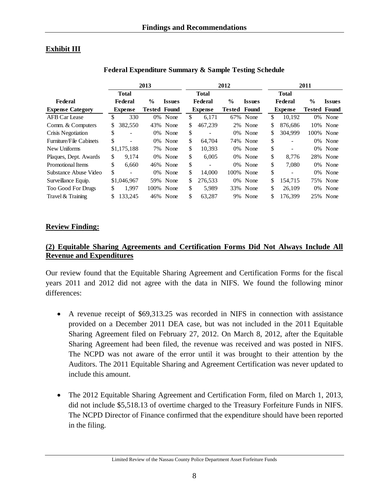# **Exhibit III**

|                                |     |                          | 2013                |               | 2012           |               |               | 2011 |                |                     |               |
|--------------------------------|-----|--------------------------|---------------------|---------------|----------------|---------------|---------------|------|----------------|---------------------|---------------|
|                                |     | <b>Total</b>             |                     |               | <b>Total</b>   |               |               |      | <b>Total</b>   |                     |               |
| Federal                        |     | <b>Federal</b>           | $\frac{0}{0}$       | <b>Issues</b> | Federal        | $\frac{0}{0}$ | <b>Issues</b> |      | Federal        | $\%$                | <b>Issues</b> |
| <b>Expense Category</b>        |     | <b>Expense</b>           | <b>Tested Found</b> |               | <b>Expense</b> | <b>Tested</b> | Found         |      | <b>Expense</b> | <b>Tested Found</b> |               |
| <b>AFB Car Lease</b>           | \$  | 330                      | 0%                  | None          | \$<br>6.171    | 67%           | None          | \$   | 10.192         | 0%                  | None          |
| Comm. & Computers              | S.  | 382,550                  |                     | 43% None      | \$<br>467,239  |               | 2% None       | \$   | 876.686        |                     | 10% None      |
| Crisis Negotiation             | \$  |                          | 0%                  | None          | \$             | 0%            | None          | \$   | 304.999        | 100%                | None          |
| <b>Furniture/File Cabinets</b> | \$  | $\overline{\phantom{0}}$ |                     | 0% None       | \$<br>64,704   |               | 74% None      | \$   |                | 0%                  | None          |
| New Uniforms                   |     | \$1,175,188              |                     | 7% None       | \$<br>10,393   | $0\%$         | None          | \$   |                | 0%                  | None          |
| Plaques, Dept. Awards          | \$. | 9.174                    |                     | 0% None       | \$<br>6,005    |               | 0% None       | \$   | 8.776          |                     | 28% None      |
| <b>Promotional Items</b>       | \$  | 6.660                    |                     | 46% None      | \$             |               | 0% None       | \$   | 7.080          | 0%                  | None          |
| Substance Abuse Video          | \$  | $\overline{\phantom{a}}$ |                     | 0% None       | \$<br>14,000   |               | 100% None     | \$   |                |                     | 0% None       |
| Surveillance Equip.            |     | \$1,046,967              |                     | 59% None      | \$<br>276.533  |               | 0% None       | \$   | 154.715        |                     | 75% None      |
| <b>Too Good For Drugs</b>      | \$  | 1.997                    |                     | 100% None     | \$<br>5.989    |               | 33% None      | \$   | 26,109         | 0%                  | None          |
| Travel & Training              |     | 133,245                  |                     | 46% None      | \$<br>63,287   | 9%            | None          | \$   | 176,399        |                     | 25% None      |

#### **Federal Expenditure Summary & Sample Testing Schedule**

#### **Review Finding:**

#### **(2) Equitable Sharing Agreements and Certification Forms Did Not Always Include All Revenue and Expenditures**

Our review found that the Equitable Sharing Agreement and Certification Forms for the fiscal years 2011 and 2012 did not agree with the data in NIFS. We found the following minor differences:

- A revenue receipt of \$69,313.25 was recorded in NIFS in connection with assistance provided on a December 2011 DEA case, but was not included in the 2011 Equitable Sharing Agreement filed on February 27, 2012. On March 8, 2012, after the Equitable Sharing Agreement had been filed, the revenue was received and was posted in NIFS. The NCPD was not aware of the error until it was brought to their attention by the Auditors. The 2011 Equitable Sharing and Agreement Certification was never updated to include this amount.
- The 2012 Equitable Sharing Agreement and Certification Form, filed on March 1, 2013, did not include \$5,518.13 of overtime charged to the Treasury Forfeiture Funds in NIFS. The NCPD Director of Finance confirmed that the expenditure should have been reported in the filing.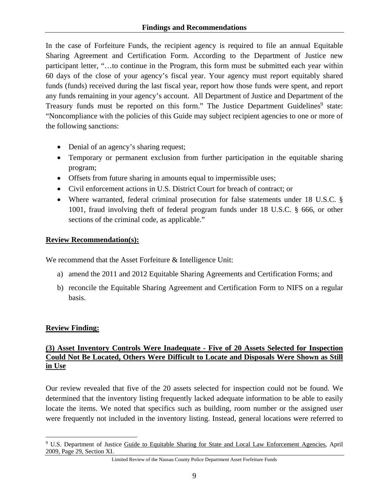In the case of Forfeiture Funds, the recipient agency is required to file an annual Equitable Sharing Agreement and Certification Form. According to the Department of Justice new participant letter, "…to continue in the Program, this form must be submitted each year within 60 days of the close of your agency's fiscal year. Your agency must report equitably shared funds (funds) received during the last fiscal year, report how those funds were spent, and report any funds remaining in your agency's account. All Department of Justice and Department of the Treasury funds must be reported on this form." The Justice Department Guidelines<sup>9</sup> state: "Noncompliance with the policies of this Guide may subject recipient agencies to one or more of the following sanctions:

- Denial of an agency's sharing request;
- Temporary or permanent exclusion from further participation in the equitable sharing program;
- Offsets from future sharing in amounts equal to impermissible uses;
- Civil enforcement actions in U.S. District Court for breach of contract; or
- Where warranted, federal criminal prosecution for false statements under 18 U.S.C. § 1001, fraud involving theft of federal program funds under 18 U.S.C. § 666, or other sections of the criminal code, as applicable."

# **Review Recommendation(s):**

We recommend that the Asset Forfeiture & Intelligence Unit:

- a) amend the 2011 and 2012 Equitable Sharing Agreements and Certification Forms; and
- b) reconcile the Equitable Sharing Agreement and Certification Form to NIFS on a regular basis.

# **Review Finding:**

 $\overline{a}$ 

# **(3) Asset Inventory Controls Were Inadequate - Five of 20 Assets Selected for Inspection Could Not Be Located, Others Were Difficult to Locate and Disposals Were Shown as Still in Use**

Our review revealed that five of the 20 assets selected for inspection could not be found. We determined that the inventory listing frequently lacked adequate information to be able to easily locate the items. We noted that specifics such as building, room number or the assigned user were frequently not included in the inventory listing. Instead, general locations were referred to

<sup>&</sup>lt;sup>9</sup> U.S. Department of Justice Guide to Equitable Sharing for State and Local Law Enforcement Agencies, April 2009, Page 29, Section XI.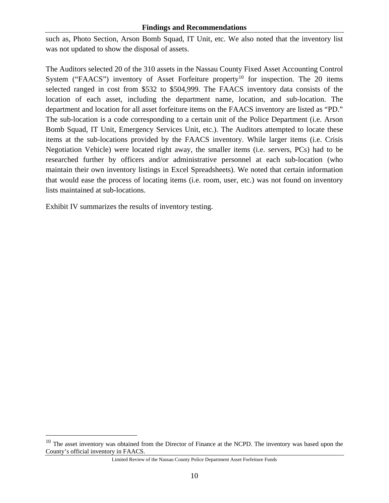#### **Findings and Recommendations**

such as, Photo Section, Arson Bomb Squad, IT Unit, etc. We also noted that the inventory list was not updated to show the disposal of assets.

The Auditors selected 20 of the 310 assets in the Nassau County Fixed Asset Accounting Control System ("FAACS") inventory of Asset Forfeiture property<sup>10</sup> for inspection. The 20 items selected ranged in cost from \$532 to \$504,999. The FAACS inventory data consists of the location of each asset, including the department name, location, and sub-location. The department and location for all asset forfeiture items on the FAACS inventory are listed as "PD." The sub-location is a code corresponding to a certain unit of the Police Department (i.e. Arson Bomb Squad, IT Unit, Emergency Services Unit, etc.). The Auditors attempted to locate these items at the sub-locations provided by the FAACS inventory. While larger items (i.e. Crisis Negotiation Vehicle) were located right away, the smaller items (i.e. servers, PCs) had to be researched further by officers and/or administrative personnel at each sub-location (who maintain their own inventory listings in Excel Spreadsheets). We noted that certain information that would ease the process of locating items (i.e. room, user, etc.) was not found on inventory lists maintained at sub-locations.

Exhibit IV summarizes the results of inventory testing.

 $\overline{a}$ 

<sup>&</sup>lt;sup>10</sup> The asset inventory was obtained from the Director of Finance at the NCPD. The inventory was based upon the County's official inventory in FAACS.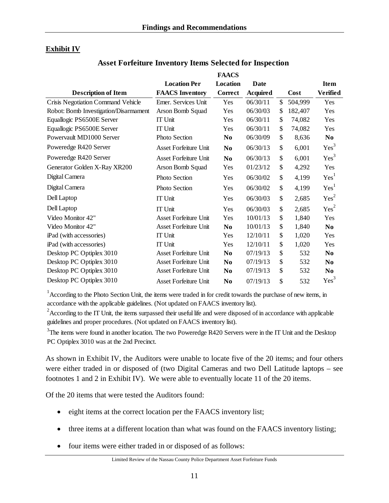# **Exhibit IV**

## **Asset Forfeiture Inventory Items Selected for Inspection**

 $\mathbf{F}$ 

|                                       |                              | FAACS          |                 |               |                  |
|---------------------------------------|------------------------------|----------------|-----------------|---------------|------------------|
|                                       | <b>Location Per</b>          | Location       | Date            |               | <b>Item</b>      |
| <b>Description of Item</b>            | <b>FAACS</b> Inventory       | <b>Correct</b> | <b>Acquired</b> | Cost          | Verified         |
| Crisis Negotiation Command Vehicle    | Emer. Services Unit          | Yes            | 06/30/11        | \$<br>504,999 | Yes              |
| Robot: Bomb Investigation/Disarmament | Arson Bomb Squad             | Yes            | 06/30/03        | \$<br>182,407 | Yes              |
| Equallogic PS6500E Server             | IT Unit                      | Yes            | 06/30/11        | \$<br>74,082  | Yes              |
| Equallogic PS6500E Server             | <b>IT Unit</b>               | Yes            | 06/30/11        | \$<br>74,082  | Yes              |
| Powervault MD1000 Server              | Photo Section                | N <sub>0</sub> | 06/30/09        | \$<br>8,636   | N <sub>0</sub>   |
| Poweredge R420 Server                 | <b>Asset Forfeiture Unit</b> | N <sub>0</sub> | 06/30/13        | \$<br>6,001   | Yes <sup>3</sup> |
| Poweredge R420 Server                 | <b>Asset Forfeiture Unit</b> | N <sub>0</sub> | 06/30/13        | \$<br>6,001   | Yes <sup>3</sup> |
| Generator Golden X-Ray XR200          | Arson Bomb Squad             | Yes            | 01/23/12        | \$<br>4,292   | Yes              |
| Digital Camera                        | Photo Section                | Yes            | 06/30/02        | \$<br>4,199   | Yes <sup>1</sup> |
| Digital Camera                        | Photo Section                | Yes            | 06/30/02        | \$<br>4,199   | Yes <sup>1</sup> |
| Dell Laptop                           | <b>IT Unit</b>               | Yes            | 06/30/03        | \$<br>2,685   | Yes <sup>2</sup> |
| Dell Laptop                           | <b>IT Unit</b>               | Yes            | 06/30/03        | \$<br>2,685   | Yes <sup>2</sup> |
| Video Monitor 42"                     | <b>Asset Forfeiture Unit</b> | Yes            | 10/01/13        | \$<br>1,840   | Yes              |
| Video Monitor 42"                     | <b>Asset Forfeiture Unit</b> | N <sub>0</sub> | 10/01/13        | \$<br>1,840   | N <sub>0</sub>   |
| iPad (with accessories)               | <b>IT Unit</b>               | Yes            | 12/10/11        | \$<br>1,020   | Yes              |
| iPad (with accessories)               | <b>IT Unit</b>               | Yes            | 12/10/11        | \$<br>1,020   | Yes              |
| Desktop PC Optiplex 3010              | <b>Asset Forfeiture Unit</b> | N <sub>0</sub> | 07/19/13        | \$<br>532     | N <sub>0</sub>   |
| Desktop PC Optiplex 3010              | <b>Asset Forfeiture Unit</b> | N <sub>0</sub> | 07/19/13        | \$<br>532     | N <sub>0</sub>   |
| Desktop PC Optiplex 3010              | Asset Forfeiture Unit        | N <sub>0</sub> | 07/19/13        | \$<br>532     | N <sub>0</sub>   |
| Desktop PC Optiplex 3010              | <b>Asset Forfeiture Unit</b> | N <sub>0</sub> | 07/19/13        | \$<br>532     | $\mathrm{Yes}^3$ |

<sup>1</sup> According to the Photo Section Unit, the items were traded in for credit towards the purchase of new items, in accordance with the applicable guidelines. (Not updated on FAACS inventory list).

 $2^2$ According to the IT Unit, the items surpassed their useful life and were disposed of in accordance with applicable guidelines and proper procedures. (Not updated on FAACS inventory list).

 $3$ The items were found in another location. The two Poweredge R420 Servers were in the IT Unit and the Desktop PC Optiplex 3010 was at the 2nd Precinct.

As shown in Exhibit IV, the Auditors were unable to locate five of the 20 items; and four others were either traded in or disposed of (two Digital Cameras and two Dell Latitude laptops – see footnotes 1 and 2 in Exhibit IV). We were able to eventually locate 11 of the 20 items.

Of the 20 items that were tested the Auditors found:

- eight items at the correct location per the FAACS inventory list;
- three items at a different location than what was found on the FAACS inventory listing;
- four items were either traded in or disposed of as follows: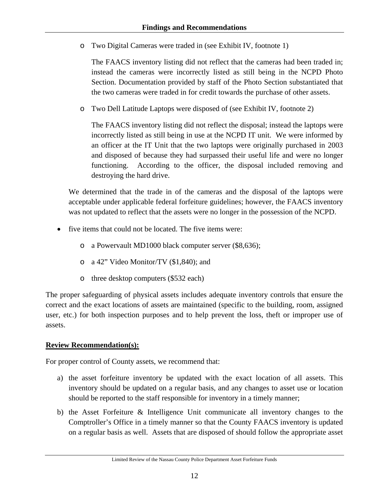o Two Digital Cameras were traded in (see Exhibit IV, footnote 1)

The FAACS inventory listing did not reflect that the cameras had been traded in; instead the cameras were incorrectly listed as still being in the NCPD Photo Section. Documentation provided by staff of the Photo Section substantiated that the two cameras were traded in for credit towards the purchase of other assets.

o Two Dell Latitude Laptops were disposed of (see Exhibit IV, footnote 2)

The FAACS inventory listing did not reflect the disposal; instead the laptops were incorrectly listed as still being in use at the NCPD IT unit. We were informed by an officer at the IT Unit that the two laptops were originally purchased in 2003 and disposed of because they had surpassed their useful life and were no longer functioning. According to the officer, the disposal included removing and destroying the hard drive.

We determined that the trade in of the cameras and the disposal of the laptops were acceptable under applicable federal forfeiture guidelines; however, the FAACS inventory was not updated to reflect that the assets were no longer in the possession of the NCPD.

- five items that could not be located. The five items were:
	- o a Powervault MD1000 black computer server (\$8,636);
	- o a 42" Video Monitor/TV (\$1,840); and
	- o three desktop computers (\$532 each)

The proper safeguarding of physical assets includes adequate inventory controls that ensure the correct and the exact locations of assets are maintained (specific to the building, room, assigned user, etc.) for both inspection purposes and to help prevent the loss, theft or improper use of assets.

#### **Review Recommendation(s):**

For proper control of County assets, we recommend that:

- a) the asset forfeiture inventory be updated with the exact location of all assets. This inventory should be updated on a regular basis, and any changes to asset use or location should be reported to the staff responsible for inventory in a timely manner;
- b) the Asset Forfeiture & Intelligence Unit communicate all inventory changes to the Comptroller's Office in a timely manner so that the County FAACS inventory is updated on a regular basis as well. Assets that are disposed of should follow the appropriate asset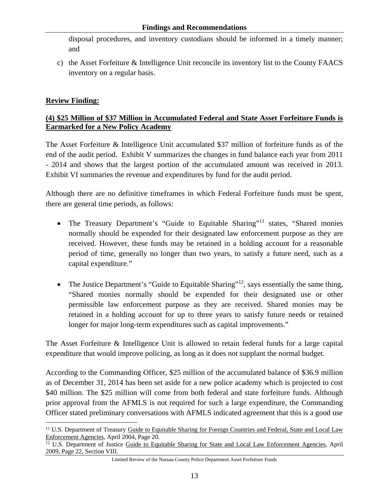disposal procedures, and inventory custodians should be informed in a timely manner; and

c) the Asset Forfeiture & Intelligence Unit reconcile its inventory list to the County FAACS inventory on a regular basis.

#### **Review Finding:**

## **(4) \$25 Million of \$37 Million in Accumulated Federal and State Asset Forfeiture Funds is Earmarked for a New Policy Academy**

The Asset Forfeiture & Intelligence Unit accumulated \$37 million of forfeiture funds as of the end of the audit period. Exhibit V summarizes the changes in fund balance each year from 2011 - 2014 and shows that the largest portion of the accumulated amount was received in 2013. Exhibit VI summaries the revenue and expenditures by fund for the audit period.

Although there are no definitive timeframes in which Federal Forfeiture funds must be spent, there are general time periods, as follows:

- The Treasury Department's "Guide to Equitable Sharing"<sup>11</sup> states, "Shared monies normally should be expended for their designated law enforcement purpose as they are received. However, these funds may be retained in a holding account for a reasonable period of time, generally no longer than two years, to satisfy a future need, such as a capital expenditure."
- The Justice Department's "Guide to Equitable Sharing"<sup>12</sup>, says essentially the same thing, "Shared monies normally should be expended for their designated use or other permissible law enforcement purpose as they are received. Shared monies may be retained in a holding account for up to three years to satisfy future needs or retained longer for major long-term expenditures such as capital improvements."

The Asset Forfeiture & Intelligence Unit is allowed to retain federal funds for a large capital expenditure that would improve policing, as long as it does not supplant the normal budget.

According to the Commanding Officer, \$25 million of the accumulated balance of \$36.9 million as of December 31, 2014 has been set aside for a new police academy which is projected to cost \$40 million. The \$25 million will come from both federal and state forfeiture funds. Although prior approval from the AFMLS is not required for such a large expenditure, the Commanding Officer stated preliminary conversations with AFMLS indicated agreement that this is a good use

<sup>1</sup> <sup>11</sup> U.S. Department of Treasury Guide to Equitable Sharing for Foreign Countries and Federal, State and Local Law Enforcement Agencies, April 2004, Page 20.<br><sup>12</sup> U.S. Department of Justice Guide to Equitable Sharing for State and Local Law Enforcement Agencies, April

<sup>2009,</sup> Page 22, Section VIII.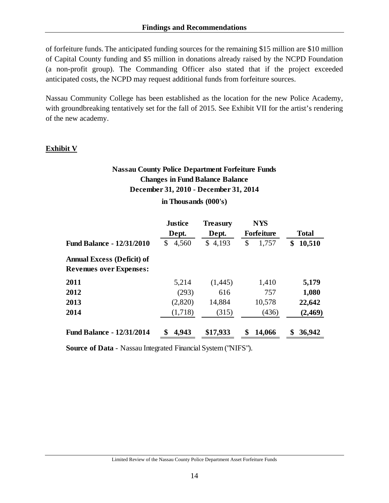of forfeiture funds. The anticipated funding sources for the remaining \$15 million are \$10 million of Capital County funding and \$5 million in donations already raised by the NCPD Foundation (a non-profit group). The Commanding Officer also stated that if the project exceeded anticipated costs, the NCPD may request additional funds from forfeiture sources.

Nassau Community College has been established as the location for the new Police Academy, with groundbreaking tentatively set for the fall of 2015. See Exhibit VII for the artist's rendering of the new academy.

## **Exhibit V**

# **Nassau County Police Department Forfeiture Funds Changes in Fund Balance Balance December 31, 2010 - December 31, 2014**

#### **in Thousands (000's)**

|                                                                     | <b>Justice</b> | <b>Treasury</b> | <b>NYS</b>        |              |
|---------------------------------------------------------------------|----------------|-----------------|-------------------|--------------|
|                                                                     | Dept.          | Dept.           | <b>Forfeiture</b> | <b>Total</b> |
| <b>Fund Balance - 12/31/2010</b>                                    | 4,560<br>\$    | \$4,193         | \$<br>1,757       | 10,510<br>\$ |
| <b>Annual Excess (Deficit) of</b><br><b>Revenues over Expenses:</b> |                |                 |                   |              |
| 2011                                                                | 5,214          | (1,445)         | 1,410             | 5,179        |
| 2012                                                                | (293)          | 616             | 757               | 1,080        |
| 2013                                                                | (2,820)        | 14,884          | 10,578            | 22,642       |
| 2014                                                                | (1,718)        | (315)           | (436)             | (2, 469)     |
| <b>Fund Balance - 12/31/2014</b>                                    | \$<br>4,943    | \$17,933        | \$<br>14,066      | \$<br>36,942 |

**Source of Data** - Nassau Integrated Financial System ("NIFS").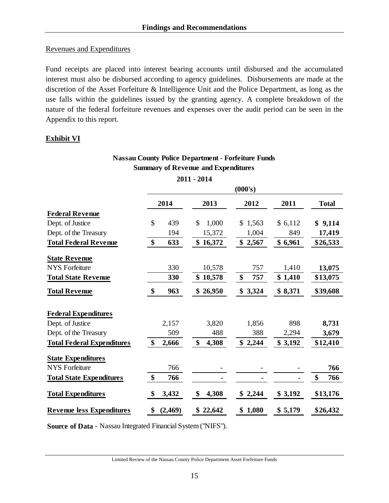#### Revenues and Expenditures

Fund receipts are placed into interest bearing accounts until disbursed and the accumulated interest must also be disbursed according to agency guidelines. Disbursements are made at the discretion of the Asset Forfeiture & Intelligence Unit and the Police Department, as long as the use falls within the guidelines issued by the granting agency. A complete breakdown of the nature of the federal forfeiture revenues and expenses over the audit period can be seen in the Appendix to this report.

#### **Exhibit VI**

# **Nassau County Police Department - Forfeiture Funds Summary of Revenue and Expenditures**

|                                   | (000's)       |              |             |         |              |  |  |  |
|-----------------------------------|---------------|--------------|-------------|---------|--------------|--|--|--|
|                                   | 2014          | 2013         | 2012        | 2011    | <b>Total</b> |  |  |  |
| <b>Federal Revenue</b>            |               |              |             |         |              |  |  |  |
| Dept. of Justice                  | \$<br>439     | \$<br>1,000  | \$1,563     | \$6,112 | \$9,114      |  |  |  |
| Dept. of the Treasury             | 194           | 15,372       | 1,004       | 849     | 17,419       |  |  |  |
| <b>Total Federal Revenue</b>      | \$<br>633     | \$<br>16,372 | \$2,567     | \$6,961 | \$26,533     |  |  |  |
| <b>State Revenue</b>              |               |              |             |         |              |  |  |  |
| <b>NYS Forfeiture</b>             | 330           | 10,578       | 757         | 1,410   | 13,075       |  |  |  |
| <b>Total State Revenue</b>        | 330           | \$10,578     | \$<br>757   | \$1,410 | \$13,075     |  |  |  |
| <b>Total Revenue</b>              | 963<br>\$     | 26,950<br>\$ | \$3,324     | \$8,371 | \$39,608     |  |  |  |
| <b>Federal Expenditures</b>       |               |              |             |         |              |  |  |  |
| Dept. of Justice                  | 2,157         | 3,820        | 1,856       | 898     | 8,731        |  |  |  |
| Dept. of the Treasury             | 509           | 488          | 388         | 2,294   | 3,679        |  |  |  |
| <b>Total Federal Expenditures</b> | \$<br>2,666   | \$<br>4,308  | \$2,244     | \$3,192 | \$12,410     |  |  |  |
| <b>State Expenditures</b>         |               |              |             |         |              |  |  |  |
| <b>NYS Forfeiture</b>             | 766           |              |             |         | 766          |  |  |  |
| <b>Total State Expenditures</b>   | \$<br>766     |              |             |         | \$<br>766    |  |  |  |
| <b>Total Expenditures</b>         | \$<br>3,432   | \$<br>4,308  | \$2,244     | \$3,192 | \$13,176     |  |  |  |
| <b>Revenue less Expenditures</b>  | \$<br>(2,469) | \$<br>22,642 | 1,080<br>\$ | \$5,179 | \$26,432     |  |  |  |

**Source of Data** - Nassau Integrated Financial System ("NIFS").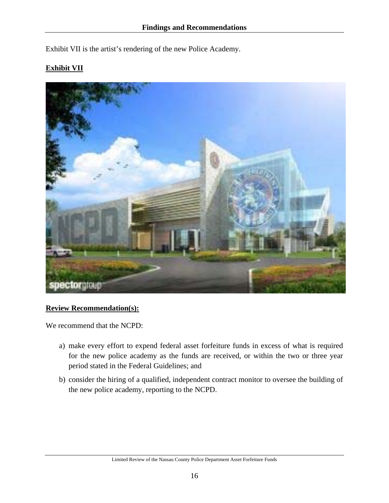Exhibit VII is the artist's rendering of the new Police Academy.

# **Exhibit VII**



#### **Review Recommendation(s):**

We recommend that the NCPD:

- a) make every effort to expend federal asset forfeiture funds in excess of what is required for the new police academy as the funds are received, or within the two or three year period stated in the Federal Guidelines; and
- b) consider the hiring of a qualified, independent contract monitor to oversee the building of the new police academy, reporting to the NCPD.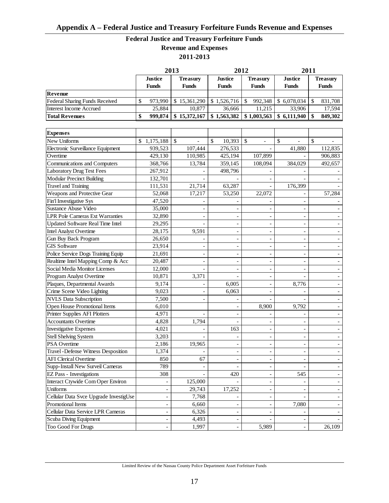# **Federal Justice and Treasury Forfeiture Funds Revenue and Expenses**

**2011-2013**

|                                       |                         | 2013                     | 2012                    |                                 | 2011                                    |                                 |  |
|---------------------------------------|-------------------------|--------------------------|-------------------------|---------------------------------|-----------------------------------------|---------------------------------|--|
|                                       | Justice<br><b>Funds</b> | Treasurv<br><b>Funds</b> | Justice<br><b>Funds</b> | <b>Treasury</b><br><b>Funds</b> | Justice<br><b>Funds</b>                 | <b>Treasury</b><br><b>Funds</b> |  |
| Revenue                               |                         |                          |                         |                                 |                                         |                                 |  |
| <b>Federal Sharing Funds Received</b> | 973.990                 | \$15,361,290             | \$1.526.716             | 992.348<br>-S                   | \$6.078.034                             | 831,708                         |  |
| Interest Income Accrued               | 25,884                  | 10.877                   | 36,666                  | 11.215                          | 33,906                                  | 17.594                          |  |
| <b>Total Revenues</b>                 | 999,874                 | \$15,372,167             | 1,563,382               |                                 | $$1,003,563 \;   \; $6,111,940 \;   \;$ | 849,302                         |  |

| <b>Expenses</b>                          |                          |         |                          |                          |                |         |
|------------------------------------------|--------------------------|---------|--------------------------|--------------------------|----------------|---------|
| New Uniforms                             | \$<br>1,175,188          | \$      | $\mathbb{S}$<br>10,393   | \$                       | \$             | \$      |
| Electronic Surveillance Equipment        | 939,523                  | 107,444 | 276,533                  |                          | 41,880         | 112,835 |
| Overtime                                 | 429,130                  | 110,985 | 425,194                  | 107,899                  |                | 906,883 |
| Communications and Computers             | 368,766                  | 13,784  | 359,145                  | 108,094                  | 384,029        | 492,657 |
| <b>Laboratory Drug Test Fees</b>         | 267,912                  |         | 498,796                  |                          |                |         |
| <b>Modular Precinct Building</b>         | 132,701                  |         |                          |                          |                |         |
| <b>Travel and Training</b>               | 111,531                  | 21,714  | 63,287                   |                          | 176,399        |         |
| Weapons and Protective Gear              | 52,068                   | 17,217  | 53,250                   | 22,072                   |                | 57,284  |
| Fin'l Investigative Sys                  | 47,520                   |         |                          |                          |                |         |
| <b>Sustance Abuse Video</b>              | 35,000                   |         |                          |                          |                |         |
| <b>LPR Pole Cameras Ext Warranties</b>   | 32,890                   |         |                          |                          |                |         |
| <b>Updated Software Real Time Intel</b>  | 29,295                   |         | $\overline{a}$           | $\overline{a}$           |                |         |
| <b>Intel Analyst Overtime</b>            | 28,175                   | 9,591   | $\overline{\phantom{a}}$ | L,                       |                |         |
| Gun Buy Back Program                     | 26,650                   |         |                          | Ĭ.                       |                |         |
| <b>GIS Software</b>                      | 23,914                   |         | $\overline{a}$           | $\blacksquare$           |                |         |
| Police Service Dogs Training Equip       | 21,691                   |         | $\overline{\phantom{a}}$ | $\blacksquare$           |                |         |
| Realtime Intel Mapping Comp & Acc        | 20,487                   |         |                          |                          |                |         |
| Social Media Monitor Licenses            | 12,000                   |         |                          | $\overline{a}$           |                |         |
| Program Analyst Overtime                 | 10,871                   | 3,371   | $\overline{a}$           | $\overline{\phantom{a}}$ |                |         |
| Plaques, Departmental Awards             | 9,174                    |         | 6,005                    | $\overline{\phantom{a}}$ | 8,776          |         |
| Crime Scene Video Lighting               | 9,023                    |         | 6,063                    | $\overline{\phantom{a}}$ |                |         |
| <b>NVLS</b> Data Subscription            | 7,500                    |         |                          | $\overline{a}$           |                |         |
| Open House Promotional Items             | 6,010                    |         |                          | 8,900                    | 9,792          |         |
| Printer Supplies AFI Plotters            | 4,971                    |         |                          |                          |                |         |
| <b>Accountants Overtime</b>              | 4,828                    | 1,794   |                          |                          |                |         |
| <b>Investigative Expenses</b>            | 4,021                    |         | 163                      | $\overline{a}$           |                |         |
| <b>Stell Shelving System</b>             | 3,203                    |         |                          | $\overline{\phantom{a}}$ |                |         |
| <b>PSA</b> Overtime                      | 2,186                    | 19,965  |                          | Ĭ.                       |                |         |
| Travel - Defense Witness Desposition     | 1,374                    |         | $\overline{a}$           | $\overline{\phantom{a}}$ |                |         |
| <b>AFI Clerical Overtime</b>             | 850                      | 67      |                          | ÷,                       |                |         |
| Supp-Install New Surveil Cameras         | 789                      |         |                          | $\overline{a}$           |                |         |
| <b>EZ Pass - Investigations</b>          | 308                      |         | 420                      |                          | 545            |         |
| <b>Interact Ctywide Com Oper Environ</b> | $\overline{\phantom{m}}$ | 125,000 |                          | $\overline{\phantom{a}}$ | $\overline{a}$ |         |
| Uniforms                                 | $\overline{a}$           | 29,743  | 17,252                   | $\overline{a}$           |                |         |
| Cellular Data Svce Upgrade InvestigUse   | $\overline{a}$           | 7,768   |                          |                          |                |         |
| Promotional Items                        | $\overline{\phantom{a}}$ | 6,660   | $\overline{a}$           | $\blacksquare$           | 7,080          |         |
| Cellular Data Service LPR Cameras        | $\overline{\phantom{0}}$ | 6,326   | $\overline{\phantom{a}}$ |                          |                |         |
| Scuba Diving Equipment                   |                          | 4,493   |                          |                          |                |         |
| Too Good For Drugs                       |                          | 1,997   |                          | 5,989                    |                | 26,109  |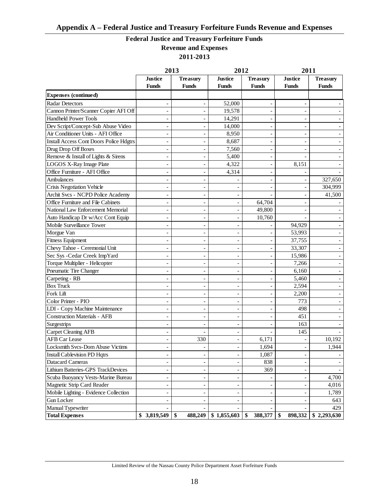# **Federal Justice and Treasury Forfeiture Funds**

**Revenue and Expenses 2011-2013**

|                                                | 2013<br>2012             |                          |                          |                 | 2011           |                 |
|------------------------------------------------|--------------------------|--------------------------|--------------------------|-----------------|----------------|-----------------|
|                                                | <b>Justice</b>           | <b>Treasury</b>          | <b>Justice</b>           | <b>Treasury</b> | <b>Justice</b> | <b>Treasury</b> |
|                                                | <b>Funds</b>             | <b>Funds</b>             | <b>Funds</b>             | <b>Funds</b>    | <b>Funds</b>   | Funds           |
| <b>Expenses (continued)</b>                    |                          |                          |                          |                 |                |                 |
| <b>Radar Detectors</b>                         |                          |                          | 52,000                   |                 |                |                 |
| Cannon Printer/Scanner Copier AFI Off          |                          |                          | 19,578                   |                 |                |                 |
| <b>Handheld Power Tools</b>                    | ÷,                       |                          | 14,291                   | ٠               |                |                 |
| Dev Script/Concept-Sub Abuse Video             | ÷,                       |                          | 14,000                   | ٠               |                |                 |
| Air Conditioner Units - AFI Office             | ÷,                       |                          | 8,950                    | ÷               |                |                 |
| <b>Install Access Cont Doors Police Hdgtrs</b> | $\overline{a}$           |                          | 8,687                    | ٠               |                |                 |
| Drug Drop Off Boxes                            | ÷,                       |                          | 7,560                    | ÷               |                |                 |
| Remove & Install of Lights & Sirens            | ÷,                       |                          | 5,400                    | $\overline{a}$  |                |                 |
| LOGOS X-Ray Image Plate                        | ÷,                       |                          | 4,322                    | $\overline{a}$  | 8,151          |                 |
| Office Furniture - AFI Office                  | ÷,                       |                          | 4,314                    |                 |                |                 |
| Ambulances                                     |                          |                          |                          |                 |                | 327,650         |
| Crisis Negotiation Vehicle                     |                          |                          |                          |                 |                | 304,999         |
| Archit Svcs - NCPD Police Academy              |                          |                          | $\overline{\phantom{a}}$ |                 |                | 41,500          |
| Office Furniture and File Cabinets             | ÷,                       |                          | $\overline{\phantom{a}}$ | 64,704          |                |                 |
| National Law Enforcement Memorial              | ÷,                       |                          | $\overline{\phantom{a}}$ | 49,800          |                |                 |
| Auto Handicap Dr w/Acc Cont Equip              | ÷,                       |                          | $\overline{\phantom{a}}$ | 10,760          |                |                 |
| Mobile Surveillance Tower                      |                          |                          | $\overline{\phantom{a}}$ |                 | 94,929         |                 |
| Morgue Van                                     |                          |                          | $\overline{\phantom{a}}$ |                 | 53,993         |                 |
| <b>Fitness Equipment</b>                       |                          |                          | $\overline{\phantom{a}}$ |                 | 37,755         |                 |
| Chevy Tahoe - Ceremonial Unit                  | $\overline{a}$           |                          | $\overline{\phantom{a}}$ | $\overline{a}$  | 33,307         |                 |
| Sec Sys - Cedar Creek ImpYard                  | ÷,                       |                          | $\overline{\phantom{a}}$ |                 | 15,986         |                 |
| Torque Multiplier - Helicopter                 | $\overline{a}$           |                          | $\overline{\phantom{a}}$ |                 | 7,266          |                 |
| Pneumatic Tire Changer                         | ÷,                       |                          | $\overline{\phantom{a}}$ |                 | 6,160          |                 |
| Carpeting - RB                                 | ÷,                       |                          | $\overline{\phantom{a}}$ | $\overline{a}$  | 5,460          |                 |
| <b>Box Truck</b>                               |                          |                          | $\overline{\phantom{a}}$ |                 | 2,594          |                 |
| Fork Lift                                      |                          |                          | $\overline{\phantom{a}}$ | $\overline{a}$  | 2,200          |                 |
| Color Printer - PIO                            |                          |                          | $\overline{\phantom{a}}$ | Ĭ.              | 773            |                 |
| LDI - Copy Machine Maintenance                 | $\overline{a}$           |                          | $\overline{\phantom{a}}$ |                 | 498            |                 |
| <b>Construction Materials - AFB</b>            | $\overline{a}$           |                          | $\overline{\phantom{a}}$ | Ĭ.              | 451            |                 |
| Surgestrips                                    | $\overline{a}$           |                          | $\overline{\phantom{a}}$ |                 | 163            |                 |
| <b>Carpet Cleaning AFB</b>                     | ÷,                       |                          | $\overline{\phantom{a}}$ |                 | 145            |                 |
| <b>AFB Car Lease</b>                           |                          | 330                      | $\overline{\phantom{a}}$ | 6,171           |                | 10,192          |
| Locksmith Svcs-Dom Abuse Victims               |                          |                          | $\overline{\phantom{a}}$ | 1,694           |                | 1,944           |
| <b>Install Cablevision PD Hqtrs</b>            | $\overline{\phantom{0}}$ |                          | $\overline{\phantom{0}}$ | 1,087           |                |                 |
| <b>Datacard Cameras</b>                        | ÷,                       |                          |                          | 838             |                |                 |
| Lithium Batteries-GPS TrackDevices             | $\overline{\phantom{0}}$ |                          | $\overline{\phantom{0}}$ | 369             |                |                 |
| Scuba Buoyancy Vests-Marine Bureau             | $\overline{\phantom{0}}$ |                          | $\overline{\phantom{a}}$ |                 |                | 4,700           |
| Magnetic Strip Card Reader                     | $\overline{\phantom{0}}$ |                          | $\overline{\phantom{0}}$ |                 |                | 4,016           |
| Mobile Lighting - Evidence Collection          | $\overline{\phantom{0}}$ |                          | $\overline{\phantom{a}}$ |                 |                | 1,789           |
| Gun Locker                                     |                          |                          |                          |                 |                | 643             |
| Manual Typewriter                              |                          |                          |                          |                 |                | 429             |
| <b>Total Expenses</b>                          | 3,819,549<br>\$          | $\frac{1}{2}$<br>488,249 | \$1,855,603              | \$<br>388,377   | \$<br>898,332  | \$2,293,630     |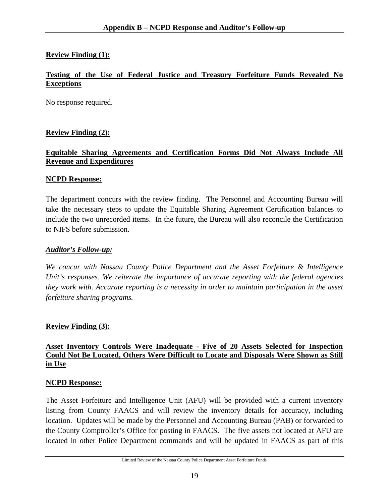# **Review Finding (1):**

#### **Testing of the Use of Federal Justice and Treasury Forfeiture Funds Revealed No Exceptions**

No response required.

#### **Review Finding (2):**

#### **Equitable Sharing Agreements and Certification Forms Did Not Always Include All Revenue and Expenditures**

#### **NCPD Response:**

The department concurs with the review finding. The Personnel and Accounting Bureau will take the necessary steps to update the Equitable Sharing Agreement Certification balances to include the two unrecorded items. In the future, the Bureau will also reconcile the Certification to NIFS before submission.

#### *Auditor's Follow-up:*

*We concur with Nassau County Police Department and the Asset Forfeiture & Intelligence Unit's responses*. *We reiterate the importance of accurate reporting with the federal agencies they work with. Accurate reporting is a necessity in order to maintain participation in the asset forfeiture sharing programs.*

#### **Review Finding (3):**

### **Asset Inventory Controls Were Inadequate - Five of 20 Assets Selected for Inspection Could Not Be Located, Others Were Difficult to Locate and Disposals Were Shown as Still in Use**

#### **NCPD Response:**

The Asset Forfeiture and Intelligence Unit (AFU) will be provided with a current inventory listing from County FAACS and will review the inventory details for accuracy, including location. Updates will be made by the Personnel and Accounting Bureau (PAB) or forwarded to the County Comptroller's Office for posting in FAACS. The five assets not located at AFU are located in other Police Department commands and will be updated in FAACS as part of this